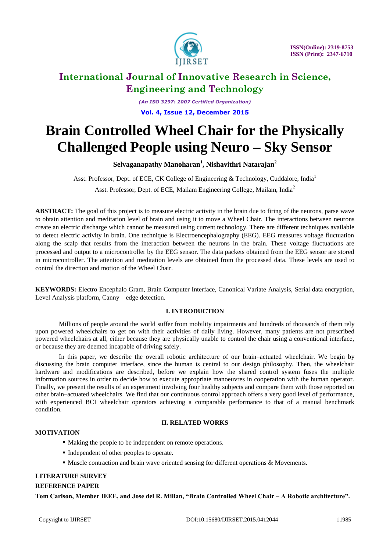

*(An ISO 3297: 2007 Certified Organization)* **Vol. 4, Issue 12, December 2015**

# **Brain Controlled Wheel Chair for the Physically Challenged People using Neuro – Sky Sensor**

**Selvaganapathy Manoharan<sup>1</sup> , Nishavithri Natarajan<sup>2</sup>**

Asst. Professor, Dept. of ECE, CK College of Engineering & Technology, Cuddalore, India<sup>1</sup> Asst. Professor, Dept. of ECE, Mailam Engineering College, Mailam, India<sup>2</sup>

**ABSTRACT:** The goal of this project is to measure electric activity in the brain due to firing of the neurons, parse wave to obtain attention and meditation level of brain and using it to move a Wheel Chair. The interactions between neurons create an electric discharge which cannot be measured using current technology. There are different techniques available to detect electric activity in brain. One technique is Electroencephalography (EEG). EEG measures voltage fluctuation along the scalp that results from the interaction between the neurons in the brain. These voltage fluctuations are processed and output to a microcontroller by the EEG sensor. The data packets obtained from the EEG sensor are stored in microcontroller. The attention and meditation levels are obtained from the processed data. These levels are used to control the direction and motion of the Wheel Chair.

**KEYWORDS:** Electro Encephalo Gram, Brain Computer Interface, Canonical Variate Analysis, Serial data encryption, Level Analysis platform, Canny – edge detection.

### **I. INTRODUCTION**

Millions of people around the world suffer from mobility impairments and hundreds of thousands of them rely upon powered wheelchairs to get on with their activities of daily living. However, many patients are not prescribed powered wheelchairs at all, either because they are physically unable to control the chair using a conventional interface, or because they are deemed incapable of driving safely.

In this paper, we describe the overall robotic architecture of our brain–actuated wheelchair. We begin by discussing the brain computer interface, since the human is central to our design philosophy. Then, the wheelchair hardware and modifications are described, before we explain how the shared control system fuses the multiple information sources in order to decide how to execute appropriate manoeuvres in cooperation with the human operator. Finally, we present the results of an experiment involving four healthy subjects and compare them with those reported on other brain–actuated wheelchairs. We find that our continuous control approach offers a very good level of performance, with experienced BCI wheelchair operators achieving a comparable performance to that of a manual benchmark condition.

### **II. RELATED WORKS**

### **MOTIVATION**

- Making the people to be independent on remote operations.
- Independent of other peoples to operate.
- **Muscle contraction and brain wave oriented sensing for different operations & Movements.**

### **LITERATURE SURVEY**

### **REFERENCE PAPER**

**Tom Carlson, Member IEEE, and Jose del R. Millan, "Brain Controlled Wheel Chair – A Robotic architecture".**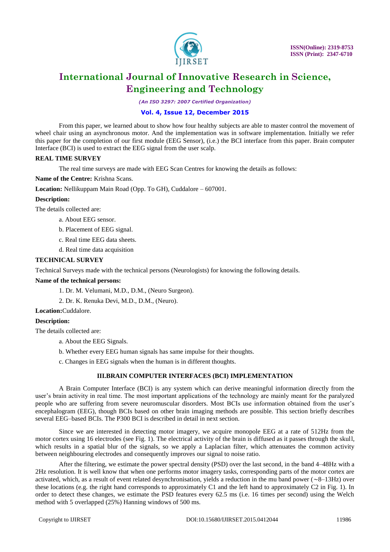

*(An ISO 3297: 2007 Certified Organization)*

#### **Vol. 4, Issue 12, December 2015**

From this paper, we learned about to show how four healthy subjects are able to master control the movement of wheel chair using an asynchronous motor. And the implementation was in software implementation. Initially we refer this paper for the completion of our first module (EEG Sensor), (i.e.) the BCI interface from this paper. Brain computer Interface (BCI) is used to extract the EEG signal from the user scalp.

#### **REAL TIME SURVEY**

The real time surveys are made with EEG Scan Centres for knowing the details as follows:

**Name of the Centre:** Krishna Scans.

**Location:** Nellikuppam Main Road (Opp. To GH), Cuddalore – 607001.

#### **Description:**

The details collected are:

- a. About EEG sensor.
- b. Placement of EEG signal.
- c. Real time EEG data sheets.
- d. Real time data acquisition

#### **TECHNICAL SURVEY**

Technical Surveys made with the technical persons (Neurologists) for knowing the following details.

#### **Name of the technical persons:**

1. Dr. M. Velumani, M.D., D.M., (Neuro Surgeon).

2. Dr. K. Renuka Devi, M.D., D.M., (Neuro).

**Location:**Cuddalore.

#### **Description:**

The details collected are:

- a. About the EEG Signals.
- b. Whether every EEG human signals has same impulse for their thoughts.
- c. Changes in EEG signals when the human is in different thoughts.

#### **III.BRAIN COMPUTER INTERFACES (BCI) IMPLEMENTATION**

A Brain Computer Interface (BCI) is any system which can derive meaningful information directly from the user's brain activity in real time. The most important applications of the technology are mainly meant for the paralyzed people who are suffering from severe neuromuscular disorders. Most BCIs use information obtained from the user's encephalogram (EEG), though BCIs based on other brain imaging methods are possible. This section briefly describes several EEG–based BCIs. The P300 BCI is described in detail in next section.

Since we are interested in detecting motor imagery, we acquire monopole EEG at a rate of 512Hz from the motor cortex using 16 electrodes (see Fig. 1). The electrical activity of the brain is diffused as it passes through the skull, which results in a spatial blur of the signals, so we apply a Laplacian filter, which attenuates the common activity between neighbouring electrodes and consequently improves our signal to noise ratio.

After the filtering, we estimate the power spectral density (PSD) over the last second, in the band 4–48Hz with a 2Hz resolution. It is well know that when one performs motor imagery tasks, corresponding parts of the motor cortex are activated, which, as a result of event related desynchronisation, yields a reduction in the mu band power (∼8–13Hz) over these locations (e.g. the right hand corresponds to approximately C1 and the left hand to approximately C2 in Fig. 1). In order to detect these changes, we estimate the PSD features every 62.5 ms (i.e. 16 times per second) using the Welch method with 5 overlapped (25%) Hanning windows of 500 ms.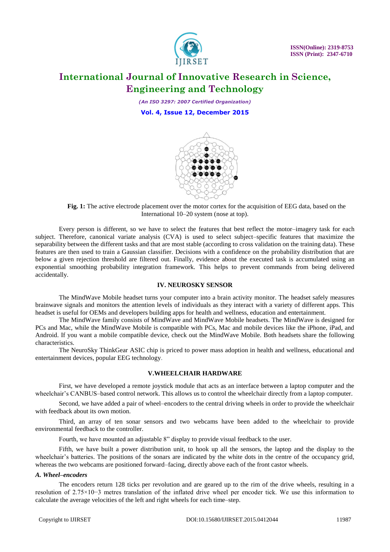

*(An ISO 3297: 2007 Certified Organization)* **Vol. 4, Issue 12, December 2015**



**Fig. 1:** The active electrode placement over the motor cortex for the acquisition of EEG data, based on the International 10–20 system (nose at top).

Every person is different, so we have to select the features that best reflect the motor–imagery task for each subject. Therefore, canonical variate analysis (CVA) is used to select subject–specific features that maximize the separability between the different tasks and that are most stable (according to cross validation on the training data). These features are then used to train a Gaussian classifier. Decisions with a confidence on the probability distribution that are below a given rejection threshold are filtered out. Finally, evidence about the executed task is accumulated using an exponential smoothing probability integration framework. This helps to prevent commands from being delivered accidentally.

#### **IV. NEUROSKY SENSOR**

The MindWave Mobile headset turns your computer into a brain activity monitor. The headset safely measures brainwave signals and monitors the attention levels of individuals as they interact with a variety of different apps. This headset is useful for OEMs and developers building apps for health and wellness, education and entertainment.

The MindWave family consists of MindWave and MindWave Mobile headsets. The MindWave is designed for PCs and Mac, while the MindWave Mobile is compatible with PCs, Mac and mobile devices like the iPhone, iPad, and Android. If you want a mobile compatible device, check out the MindWave Mobile. Both headsets share the following characteristics.

The NeuroSky ThinkGear ASIC chip is priced to power mass adoption in health and wellness, educational and entertainment devices, popular EEG technology.

#### **V.WHEELCHAIR HARDWARE**

First, we have developed a remote joystick module that acts as an interface between a laptop computer and the wheelchair's CANBUS–based control network. This allows us to control the wheelchair directly from a laptop computer.

Second, we have added a pair of wheel–encoders to the central driving wheels in order to provide the wheelchair with feedback about its own motion.

Third, an array of ten sonar sensors and two webcams have been added to the wheelchair to provide environmental feedback to the controller.

Fourth, we have mounted an adjustable 8" display to provide visual feedback to the user.

Fifth, we have built a power distribution unit, to hook up all the sensors, the laptop and the display to the wheelchair's batteries. The positions of the sonars are indicated by the white dots in the centre of the occupancy grid, whereas the two webcams are positioned forward–facing, directly above each of the front castor wheels.

#### *A. Wheel–encoders*

The encoders return 128 ticks per revolution and are geared up to the rim of the drive wheels, resulting in a resolution of 2.75×10−3 metres translation of the inflated drive wheel per encoder tick. We use this information to calculate the average velocities of the left and right wheels for each time–step.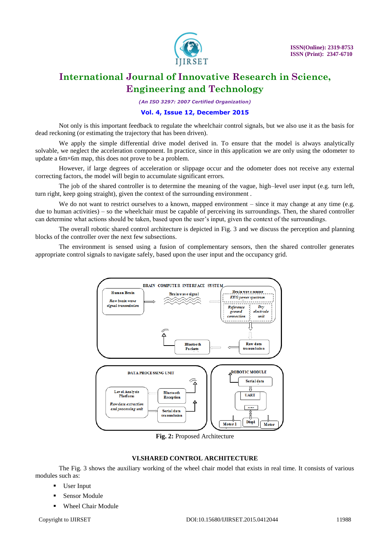

*(An ISO 3297: 2007 Certified Organization)*

#### **Vol. 4, Issue 12, December 2015**

Not only is this important feedback to regulate the wheelchair control signals, but we also use it as the basis for dead reckoning (or estimating the trajectory that has been driven).

We apply the simple differential drive model derived in. To ensure that the model is always analytically solvable, we neglect the acceleration component. In practice, since in this application we are only using the odometer to update a 6m×6m map, this does not prove to be a problem.

However, if large degrees of acceleration or slippage occur and the odometer does not receive any external correcting factors, the model will begin to accumulate significant errors.

The job of the shared controller is to determine the meaning of the vague, high–level user input (e.g. turn left, turn right, keep going straight), given the context of the surrounding environment .

We do not want to restrict ourselves to a known, mapped environment – since it may change at any time (e.g. due to human activities) – so the wheelchair must be capable of perceiving its surroundings. Then, the shared controller can determine what actions should be taken, based upon the user's input, given the context of the surroundings.

The overall robotic shared control architecture is depicted in Fig. 3 and we discuss the perception and planning blocks of the controller over the next few subsections.

The environment is sensed using a fusion of complementary sensors, then the shared controller generates appropriate control signals to navigate safely, based upon the user input and the occupancy grid.



**Fig. 2:** Proposed Architecture

#### **VI.SHARED CONTROL ARCHITECTURE**

The Fig. 3 shows the auxiliary working of the wheel chair model that exists in real time. It consists of various modules such as:

- User Input
- Sensor Module
- Wheel Chair Module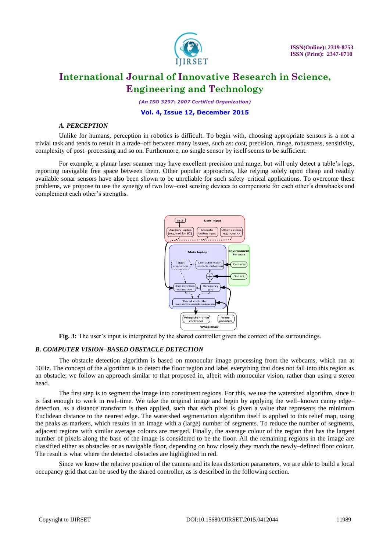

*(An ISO 3297: 2007 Certified Organization)*

#### **Vol. 4, Issue 12, December 2015**

#### *A. PERCEPTION*

Unlike for humans, perception in robotics is difficult. To begin with, choosing appropriate sensors is a not a trivial task and tends to result in a trade–off between many issues, such as: cost, precision, range, robustness, sensitivity, complexity of post–processing and so on. Furthermore, no single sensor by itself seems to be sufficient.

For example, a planar laser scanner may have excellent precision and range, but will only detect a table's legs, reporting navigable free space between them. Other popular approaches, like relying solely upon cheap and readily available sonar sensors have also been shown to be unreliable for such safety–critical applications. To overcome these problems, we propose to use the synergy of two low–cost sensing devices to compensate for each other's drawbacks and complement each other's strengths.



**Fig. 3:** The user's input is interpreted by the shared controller given the context of the surroundings.

#### *B. COMPUTER VISION–BASED OBSTACLE DETECTION*

The obstacle detection algorithm is based on monocular image processing from the webcams, which ran at 10Hz. The concept of the algorithm is to detect the floor region and label everything that does not fall into this region as an obstacle; we follow an approach similar to that proposed in, albeit with monocular vision, rather than using a stereo head.

The first step is to segment the image into constituent regions. For this, we use the watershed algorithm, since it is fast enough to work in real–time. We take the original image and begin by applying the well–known canny edge– detection, as a distance transform is then applied, such that each pixel is given a value that represents the minimum Euclidean distance to the nearest edge. The watershed segmentation algorithm itself is applied to this relief map, using the peaks as markers, which results in an image with a (large) number of segments. To reduce the number of segments, adjacent regions with similar average colours are merged. Finally, the average colour of the region that has the largest number of pixels along the base of the image is considered to be the floor. All the remaining regions in the image are classified either as obstacles or as navigable floor, depending on how closely they match the newly–defined floor colour. The result is what where the detected obstacles are highlighted in red.

Since we know the relative position of the camera and its lens distortion parameters, we are able to build a local occupancy grid that can be used by the shared controller, as is described in the following section.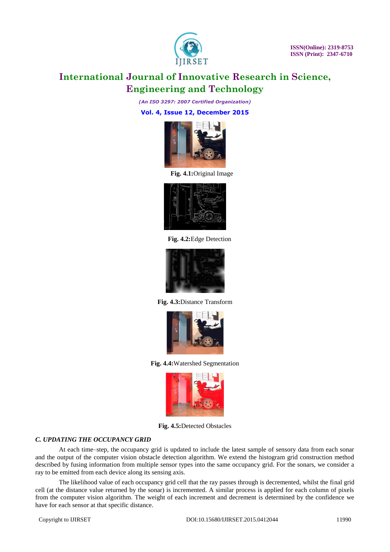

*(An ISO 3297: 2007 Certified Organization)*

**Vol. 4, Issue 12, December 2015**



**Fig. 4.1:**Original Image



**Fig. 4.2:**Edge Detection



**Fig. 4.3:**Distance Transform



**Fig. 4.4:**Watershed Segmentation



**Fig. 4.5:**Detected Obstacles

#### *C. UPDATING THE OCCUPANCY GRID*

At each time–step, the occupancy grid is updated to include the latest sample of sensory data from each sonar and the output of the computer vision obstacle detection algorithm. We extend the histogram grid construction method described by fusing information from multiple sensor types into the same occupancy grid. For the sonars, we consider a ray to be emitted from each device along its sensing axis.

The likelihood value of each occupancy grid cell that the ray passes through is decremented, whilst the final grid cell (at the distance value returned by the sonar) is incremented. A similar process is applied for each column of pixels from the computer vision algorithm. The weight of each increment and decrement is determined by the confidence we have for each sensor at that specific distance.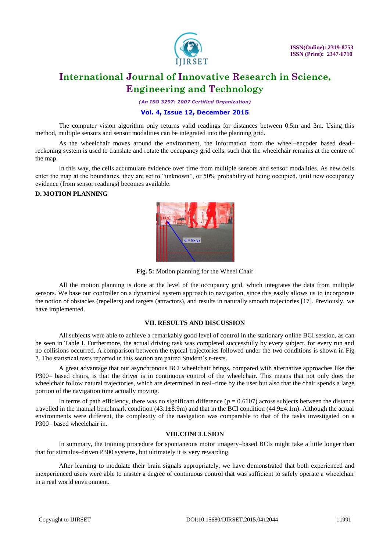

*(An ISO 3297: 2007 Certified Organization)*

#### **Vol. 4, Issue 12, December 2015**

The computer vision algorithm only returns valid readings for distances between 0.5m and 3m. Using this method, multiple sensors and sensor modalities can be integrated into the planning grid.

As the wheelchair moves around the environment, the information from the wheel–encoder based dead– reckoning system is used to translate and rotate the occupancy grid cells, such that the wheelchair remains at the centre of the map.

In this way, the cells accumulate evidence over time from multiple sensors and sensor modalities. As new cells enter the map at the boundaries, they are set to "unknown", or 50% probability of being occupied, until new occupancy evidence (from sensor readings) becomes available.

#### **D. MOTION PLANNING**



**Fig. 5:** Motion planning for the Wheel Chair

All the motion planning is done at the level of the occupancy grid, which integrates the data from multiple sensors. We base our controller on a dynamical system approach to navigation, since this easily allows us to incorporate the notion of obstacles (repellers) and targets (attractors), and results in naturally smooth trajectories [17]. Previously, we have implemented.

#### **VII. RESULTS AND DISCUSSION**

All subjects were able to achieve a remarkably good level of control in the stationary online BCI session, as can be seen in Table I. Furthermore, the actual driving task was completed successfully by every subject, for every run and no collisions occurred. A comparison between the typical trajectories followed under the two conditions is shown in Fig 7. The statistical tests reported in this section are paired Student's *t*–tests.

A great advantage that our asynchronous BCI wheelchair brings, compared with alternative approaches like the P300– based chairs, is that the driver is in continuous control of the wheelchair. This means that not only does the wheelchair follow natural trajectories, which are determined in real–time by the user but also that the chair spends a large portion of the navigation time actually moving.

In terms of path efficiency, there was no significant difference  $(p = 0.6107)$  across subjects between the distance travelled in the manual benchmark condition  $(43.1\pm8.9m)$  and that in the BCI condition  $(44.9\pm4.1m)$ . Although the actual environments were different, the complexity of the navigation was comparable to that of the tasks investigated on a P300– based wheelchair in.

#### **VIII.CONCLUSION**

In summary, the training procedure for spontaneous motor imagery–based BCIs might take a little longer than that for stimulus–driven P300 systems, but ultimately it is very rewarding.

After learning to modulate their brain signals appropriately, we have demonstrated that both experienced and inexperienced users were able to master a degree of continuous control that was sufficient to safely operate a wheelchair in a real world environment.